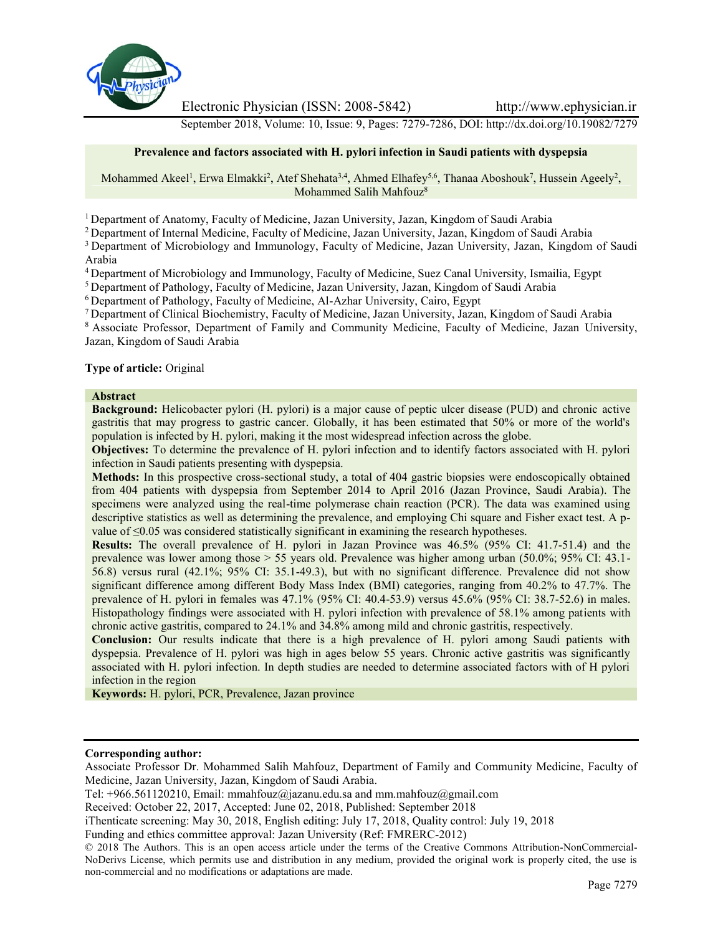

Electronic Physician (ISSN: 2008-5842) http://www.ephysician.ir

September 2018, Volume: 10, Issue: 9, Pages: 7279-7286, DOI: http://dx.doi.org/10.19082/7279

## **Prevalence and factors associated with H. pylori infection in Saudi patients with dyspepsia**

Mohammed Akeel<sup>1</sup>, Erwa Elmakki<sup>2</sup>, Atef Shehata<sup>3,4</sup>, Ahmed Elhafey<sup>5,6</sup>, Thanaa Aboshouk<sup>7</sup>, Hussein Ageely<sup>2</sup>, Mohammed Salih Mahfouz<sup>8</sup>

<sup>1</sup> Department of Anatomy, Faculty of Medicine, Jazan University, Jazan, Kingdom of Saudi Arabia

<sup>2</sup> Department of Internal Medicine, Faculty of Medicine, Jazan University, Jazan, Kingdom of Saudi Arabia

<sup>3</sup> Department of Microbiology and Immunology, Faculty of Medicine, Jazan University, Jazan, Kingdom of Saudi Arabia

<sup>4</sup> Department of Microbiology and Immunology, Faculty of Medicine, Suez Canal University, Ismailia, Egypt

<sup>5</sup> Department of Pathology, Faculty of Medicine, Jazan University, Jazan, Kingdom of Saudi Arabia

<sup>6</sup> Department of Pathology, Faculty of Medicine, Al-Azhar University, Cairo, Egypt

<sup>7</sup> Department of Clinical Biochemistry, Faculty of Medicine, Jazan University, Jazan, Kingdom of Saudi Arabia

<sup>8</sup> Associate Professor, Department of Family and Community Medicine, Faculty of Medicine, Jazan University, Jazan, Kingdom of Saudi Arabia

### **Type of article:** Original

#### **Abstract**

**Background:** Helicobacter pylori (H. pylori) is a major cause of peptic ulcer disease (PUD) and chronic active gastritis that may progress to gastric cancer. Globally, it has been estimated that 50% or more of the world's population is infected by H. pylori, making it the most widespread infection across the globe.

**Objectives:** To determine the prevalence of H. pylori infection and to identify factors associated with H. pylori infection in Saudi patients presenting with dyspepsia.

**Methods:** In this prospective cross-sectional study, a total of 404 gastric biopsies were endoscopically obtained from 404 patients with dyspepsia from September 2014 to April 2016 (Jazan Province, Saudi Arabia). The specimens were analyzed using the real-time polymerase chain reaction (PCR). The data was examined using descriptive statistics as well as determining the prevalence, and employing Chi square and Fisher exact test. A p value of ≤0.05 was considered statistically significant in examining the research hypotheses.

**Results:** The overall prevalence of H. pylori in Jazan Province was 46.5% (95% CI: 41.7-51.4) and the prevalence was lower among those > 55 years old. Prevalence was higher among urban (50.0%; 95% CI: 43.1- 56.8) versus rural (42.1%; 95% CI: 35.1-49.3), but with no significant difference. Prevalence did not show significant difference among different Body Mass Index (BMI) categories, ranging from 40.2% to 47.7%. The prevalence of H. pylori in females was 47.1% (95% CI: 40.4-53.9) versus 45.6% (95% CI: 38.7-52.6) in males. Histopathology findings were associated with H. pylori infection with prevalence of 58.1% among patients with chronic active gastritis, compared to 24.1% and 34.8% among mild and chronic gastritis, respectively.

**Conclusion:** Our results indicate that there is a high prevalence of H. pylori among Saudi patients with dyspepsia. Prevalence of H. pylori was high in ages below 55 years. Chronic active gastritis was significantly associated with H. pylori infection. In depth studies are needed to determine associated factors with of H pylori infection in the region

**Keywords:** H. pylori, PCR, Prevalence, Jazan province

### **Corresponding author:**

Associate Professor Dr. Mohammed Salih Mahfouz, Department of Family and Community Medicine, Faculty of Medicine, Jazan University, Jazan, Kingdom of Saudi Arabia.

Funding and ethics committee approval: Jazan University (Ref: FMRERC-2012)

Tel: +966.561120210, Email: mmahfouz@jazanu.edu.sa and mm.mahfouz@gmail.com

Received: October 22, 2017, Accepted: June 02, 2018, Published: September 2018

iThenticate screening: May 30, 2018, English editing: July 17, 2018, Quality control: July 19, 2018

<sup>© 2018</sup> The Authors. This is an open access article under the terms of the Creative Commons Attribution-NonCommercial- NoDerivs License, which permits use and distribution in any medium, provided the original work is properly cited, the use is non-commercial and no modifications or adaptations are made.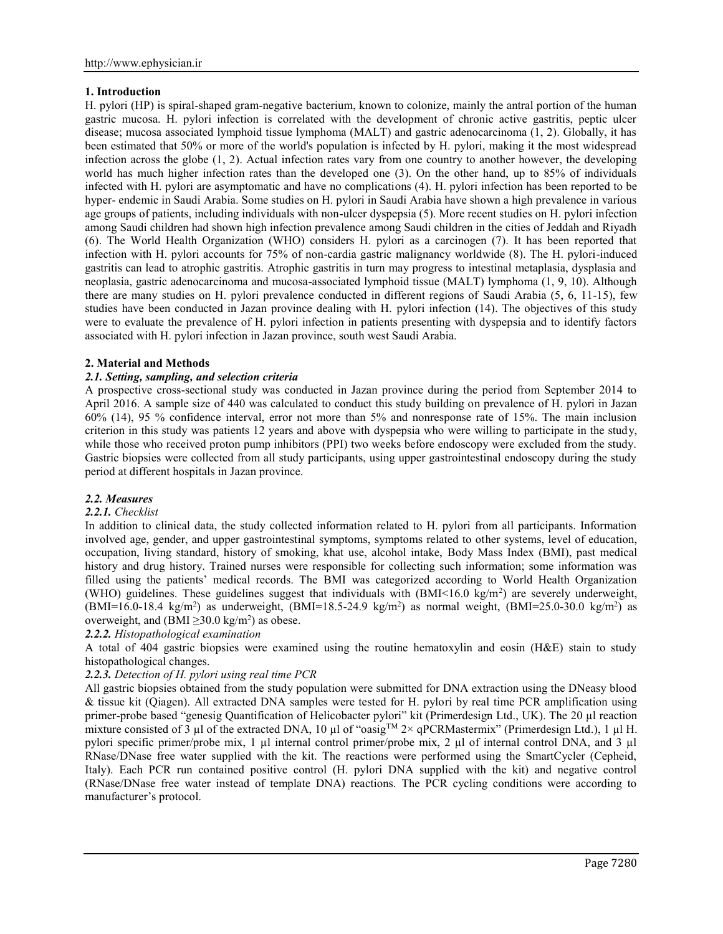## **1. Introduction**

H. pylori (HP) is spiral-shaped gram-negative bacterium, known to colonize, mainly the antral portion of the human gastric mucosa. H. pylori infection is correlated with the development of chronic active gastritis, peptic ulcer disease; mucosa associated lymphoid tissue lymphoma (MALT) and gastric adenocarcinoma (1, 2). Globally, it has been estimated that 50% or more of the world's population is infected by H. pylori, making it the most widespread infection across the globe (1, 2). Actual infection rates vary from one country to another however, the developing world has much higher infection rates than the developed one (3). On the other hand, up to 85% of individuals infected with H. pylori are asymptomatic and have no complications (4). H. pylori infection has been reported to be hyper- endemic in Saudi Arabia. Some studies on H. pylori in Saudi Arabia have shown a high prevalence in various age groups of patients, including individuals with non-ulcer dyspepsia (5). More recent studies on H. pylori infection among Saudi children had shown high infection prevalence among Saudi children in the cities of Jeddah and Riyadh (6). The World Health Organization (WHO) considers H. pylori as a carcinogen (7). It has been reported that infection with H. pylori accounts for 75% of non-cardia gastric malignancy worldwide (8). The H. pylori-induced gastritis can lead to atrophic gastritis. Atrophic gastritis in turn may progress to intestinal metaplasia, dysplasia and neoplasia, gastric adenocarcinoma and mucosa-associated lymphoid tissue (MALT) lymphoma (1, 9, 10). Although there are many studies on H. pylori prevalence conducted in different regions of Saudi Arabia (5, 6, 11-15), few studies have been conducted in Jazan province dealing with H. pylori infection (14). The objectives of this study were to evaluate the prevalence of H. pylori infection in patients presenting with dyspepsia and to identify factors associated with H. pylori infection in Jazan province, south west Saudi Arabia.

# **2. Material and Methods**

# *2.1. Setting, sampling, and selection criteria*

A prospective cross-sectional study was conducted in Jazan province during the period from September 2014 to April 2016. A sample size of 440 was calculated to conduct this study building on prevalence of H. pylori in Jazan 60% (14), 95 % confidence interval, error not more than 5% and nonresponse rate of 15%. The main inclusion criterion in this study was patients 12 years and above with dyspepsia who were willing to participate in the study, while those who received proton pump inhibitors (PPI) two weeks before endoscopy were excluded from the study. Gastric biopsies were collected from all study participants, using upper gastrointestinal endoscopy during the study period at different hospitals in Jazan province.

## *2.2. Measures*

## *2.2.1. Checklist*

In addition to clinical data, the study collected information related to H. pylori from all participants. Information involved age, gender, and upper gastrointestinal symptoms, symptoms related to other systems, level of education, occupation, living standard, history of smoking, khat use, alcohol intake, Body Mass Index (BMI), past medical history and drug history. Trained nurses were responsible for collecting such information; some information was filled using the patients' medical records. The BMI was categorized according to World Health Organization (WHO) guidelines. These guidelines suggest that individuals with  $(BMI<16.0 \text{ kg/m}^2)$  are severely underweight, (BMI=16.0-18.4 kg/m<sup>2</sup>) as underweight, (BMI=18.5-24.9 kg/m<sup>2</sup>) as normal weight, (BMI=25.0-30.0 kg/m<sup>2</sup>) as overweight, and (BMI  $\geq$ 30.0 kg/m<sup>2</sup>) as obese.

## *2.2.2. Histopathological examination*

A total of 404 gastric biopsies were examined using the routine hematoxylin and eosin (H&E) stain to study histopathological changes.

# *2.2.3. Detection of H. pylori using real time PCR*

All gastric biopsies obtained from the study population were submitted for DNA extraction using the DNeasy blood & tissue kit (Qiagen). All extracted DNA samples were tested for H. pylori by real time PCR amplification using primer-probe based "genesig Quantification of Helicobacter pylori" kit (Primerdesign Ltd., UK). The 20 ul reaction mixture consisted of  $\overline{3}$  µl of the extracted DNA, 10 µl of "oasig<sup>TM</sup> 2× qPCRMastermix" (Primerdesign Ltd.), 1 µl H. pylori specific primer/probe mix, 1 µl internal control primer/probe mix, 2 µl of internal control DNA, and 3 µl RNase/DNase free water supplied with the kit. The reactions were performed using the SmartCycler (Cepheid, Italy). Each PCR run contained positive control (H. pylori DNA supplied with the kit) and negative control (RNase/DNase free water instead of template DNA) reactions. The PCR cycling conditions were according to manufacturer's protocol.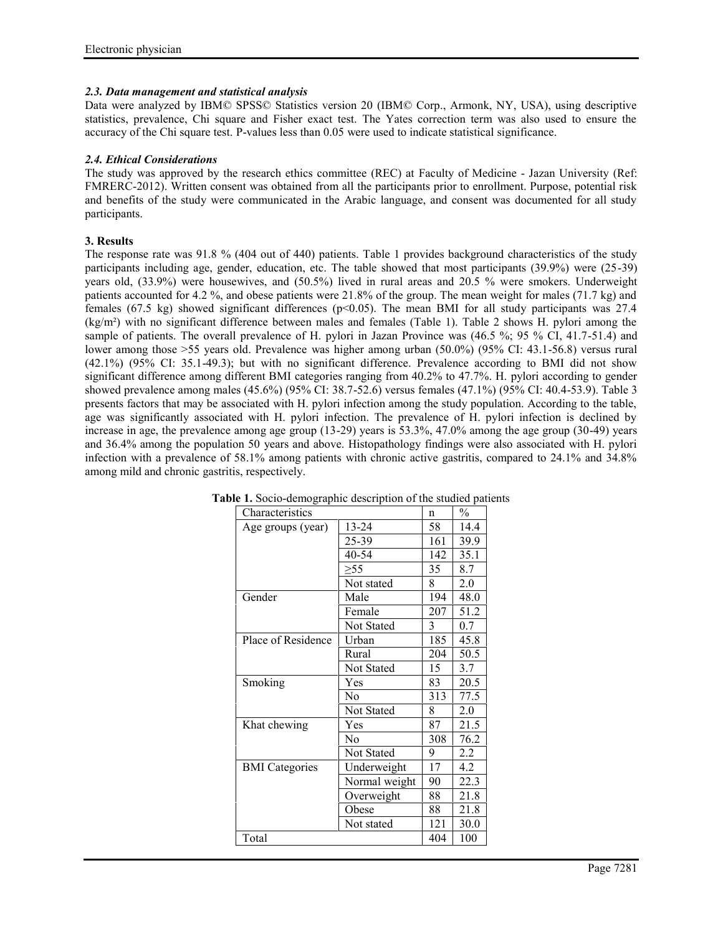## *2.3. Data management and statistical analysis*

Data were analyzed by IBM© SPSS© Statistics version 20 (IBM© Corp., Armonk, NY, USA), using descriptive statistics, prevalence, Chi square and Fisher exact test. The Yates correction term was also used to ensure the accuracy of the Chi square test. P-values less than 0.05 were used to indicate statistical significance.

## *2.4. Ethical Considerations*

The study was approved by the research ethics committee (REC) at Faculty of Medicine - Jazan University (Ref: FMRERC-2012). Written consent was obtained from all the participants prior to enrollment. Purpose, potential risk and benefits of the study were communicated in the Arabic language, and consent was documented for all study participants.

# **3. Results**

The response rate was 91.8 % (404 out of 440) patients. Table 1 provides background characteristics of the study participants including age, gender, education, etc. The table showed that most participants (39.9%) were (25-39) years old, (33.9%) were housewives, and (50.5%) lived in rural areas and 20.5 % were smokers. Underweight patients accounted for 4.2 %, and obese patients were 21.8% of the group. The mean weight for males (71.7 kg) and females (67.5 kg) showed significant differences (p<0.05). The mean BMI for all study participants was 27.4 (kg/m²) with no significant difference between males and females (Table 1). Table 2 shows H. pylori among the sample of patients. The overall prevalence of H. pylori in Jazan Province was (46.5 %; 95 % CI, 41.7-51.4) and lower among those >55 years old. Prevalence was higher among urban (50.0%) (95% CI: 43.1-56.8) versus rural (42.1%) (95% CI: 35.1-49.3); but with no significant difference. Prevalence according to BMI did not show significant difference among different BMI categories ranging from 40.2% to 47.7%. H. pylori according to gender showed prevalence among males (45.6%) (95% CI: 38.7-52.6) versus females (47.1%) (95% CI: 40.4-53.9). Table 3 presents factors that may be associated with H. pylori infection among the study population. According to the table, age was significantly associated with H. pylori infection. The prevalence of H. pylori infection is declined by increase in age, the prevalence among age group (13-29) years is 53.3%, 47.0% among the age group (30-49) years and 36.4% among the population 50 years and above. Histopathology findings were also associated with H. pylori infection with a prevalence of 58.1% among patients with chronic active gastritis, compared to 24.1% and 34.8% among mild and chronic gastritis, respectively.

| Characteristics       |                   | n   | $\%$ |
|-----------------------|-------------------|-----|------|
| Age groups (year)     | $13 - 24$         | 58  | 14.4 |
|                       | 25-39             | 161 | 39.9 |
|                       | 40-54             | 142 | 35.1 |
|                       | $\geq 55$         | 35  | 8.7  |
|                       | Not stated        | 8   | 2.0  |
| Gender                | Male              | 194 | 48.0 |
|                       | Female            | 207 | 51.2 |
|                       | Not Stated        | 3   | 0.7  |
| Place of Residence    | Urban             | 185 | 45.8 |
|                       | Rural             | 204 | 50.5 |
|                       | Not Stated        | 15  | 3.7  |
| Smoking               | Yes               | 83  | 20.5 |
|                       | No                | 313 | 77.5 |
|                       | <b>Not Stated</b> | 8   | 2.0  |
| Khat chewing          | Yes               | 87  | 21.5 |
|                       | N <sub>0</sub>    | 308 | 76.2 |
|                       | Not Stated        | 9   | 2.2  |
| <b>BMI</b> Categories | Underweight       | 17  | 4.2  |
|                       | Normal weight     | 90  | 22.3 |
|                       | Overweight        | 88  | 21.8 |
|                       | Obese             | 88  | 21.8 |
|                       | Not stated        | 121 | 30.0 |
| Total                 |                   | 404 | 100  |

**Table 1.** Socio-demographic description of the studied patients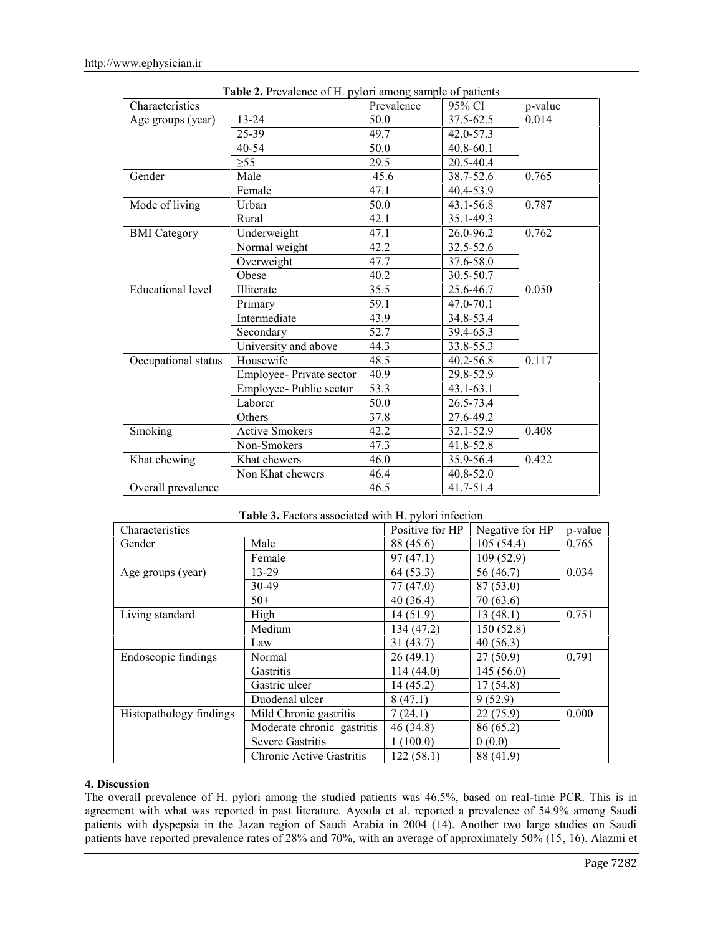| Characteristics          | $\mathbf{r}$ . $\mathbf{r}$ . $\mathbf{r}$ . $\mathbf{r}$ . $\mathbf{r}$ . $\mathbf{r}$ . $\mathbf{r}$ . $\mathbf{r}$ . $\mathbf{r}$ . $\mathbf{r}$ . $\mathbf{r}$ . $\mathbf{r}$ . $\mathbf{r}$ . $\mathbf{r}$ . $\mathbf{r}$ . $\mathbf{r}$ . $\mathbf{r}$ . $\mathbf{r}$ . $\mathbf{r}$ . $\mathbf{r}$ . $\mathbf{r}$ . $\mathbf{r}$ . | Prevalence | 95% CI        | p-value |
|--------------------------|-------------------------------------------------------------------------------------------------------------------------------------------------------------------------------------------------------------------------------------------------------------------------------------------------------------------------------------------|------------|---------------|---------|
| Age groups (year)        | $13 - 24$                                                                                                                                                                                                                                                                                                                                 | 50.0       | $37.5 - 62.5$ | 0.014   |
|                          | $25 - 39$                                                                                                                                                                                                                                                                                                                                 | 49.7       | $42.0 - 57.3$ |         |
|                          | 40-54                                                                                                                                                                                                                                                                                                                                     | 50.0       | 40.8-60.1     |         |
|                          | $\geq 55$                                                                                                                                                                                                                                                                                                                                 | 29.5       | 20.5-40.4     |         |
| Gender                   | Male                                                                                                                                                                                                                                                                                                                                      | 45.6       | 38.7-52.6     | 0.765   |
|                          | Female                                                                                                                                                                                                                                                                                                                                    | 47.1       | 40.4-53.9     |         |
| Mode of living           | Urban                                                                                                                                                                                                                                                                                                                                     | 50.0       | 43.1-56.8     | 0.787   |
|                          | Rural                                                                                                                                                                                                                                                                                                                                     | 42.1       | 35.1-49.3     |         |
| <b>BMI</b> Category      | Underweight                                                                                                                                                                                                                                                                                                                               | 47.1       | 26.0-96.2     | 0.762   |
|                          | Normal weight                                                                                                                                                                                                                                                                                                                             | 42.2       | 32.5-52.6     |         |
|                          | Overweight                                                                                                                                                                                                                                                                                                                                | 47.7       | 37.6-58.0     |         |
|                          | Obese                                                                                                                                                                                                                                                                                                                                     | 40.2       | 30.5-50.7     |         |
| <b>Educational level</b> | Illiterate                                                                                                                                                                                                                                                                                                                                | 35.5       | 25.6-46.7     | 0.050   |
|                          | Primary                                                                                                                                                                                                                                                                                                                                   | 59.1       | 47.0-70.1     |         |
|                          | Intermediate                                                                                                                                                                                                                                                                                                                              | 43.9       | 34.8-53.4     |         |
|                          | Secondary                                                                                                                                                                                                                                                                                                                                 | 52.7       | 39.4-65.3     |         |
|                          | University and above                                                                                                                                                                                                                                                                                                                      | 44.3       | 33.8-55.3     |         |
| Occupational status      | Housewife                                                                                                                                                                                                                                                                                                                                 | 48.5       | 40.2-56.8     | 0.117   |
|                          | Employee- Private sector                                                                                                                                                                                                                                                                                                                  | 40.9       | 29.8-52.9     |         |
|                          | Employee-Public sector                                                                                                                                                                                                                                                                                                                    | 53.3       | $43.1 - 63.1$ |         |
|                          | Laborer                                                                                                                                                                                                                                                                                                                                   | 50.0       | 26.5-73.4     |         |
|                          | Others                                                                                                                                                                                                                                                                                                                                    | 37.8       | 27.6-49.2     |         |
| Smoking                  | <b>Active Smokers</b>                                                                                                                                                                                                                                                                                                                     | 42.2       | 32.1-52.9     | 0.408   |
|                          | Non-Smokers                                                                                                                                                                                                                                                                                                                               | 47.3       | 41.8-52.8     |         |
| Khat chewing             | Khat chewers                                                                                                                                                                                                                                                                                                                              | 46.0       | 35.9-56.4     | 0.422   |
|                          | Non Khat chewers                                                                                                                                                                                                                                                                                                                          | 46.4       | 40.8-52.0     |         |
| Overall prevalence       |                                                                                                                                                                                                                                                                                                                                           | 46.5       | 41.7-51.4     |         |

|  | Table 2. Prevalence of H. pylori among sample of patients |
|--|-----------------------------------------------------------|
|--|-----------------------------------------------------------|

| Table 3. Factors associated with H. pylori infection |  |
|------------------------------------------------------|--|
|------------------------------------------------------|--|

| Characteristics         |                                 | Positive for HP | Negative for HP | p-value |
|-------------------------|---------------------------------|-----------------|-----------------|---------|
| Gender                  | Male                            | 88 (45.6)       | 105(54.4)       | 0.765   |
|                         | Female                          | 97(47.1)        | 109(52.9)       |         |
| Age groups (year)       | 13-29                           | 64 (53.3)       | 56 (46.7)       | 0.034   |
|                         | 30-49                           | 77(47.0)        | 87 (53.0)       |         |
|                         | $50+$                           | 40(36.4)        | 70(63.6)        |         |
| Living standard         | High                            | 14(51.9)        | 13(48.1)        | 0.751   |
|                         | Medium                          | 134 (47.2)      | 150(52.8)       |         |
|                         | Law                             | 31(43.7)        | 40(56.3)        |         |
| Endoscopic findings     | Normal                          | 26(49.1)        | 27(50.9)        | 0.791   |
|                         | Gastritis                       | 114(44.0)       | 145(56.0)       |         |
|                         | Gastric ulcer                   | 14(45.2)        | 17(54.8)        |         |
|                         | Duodenal ulcer                  | 8(47.1)         | 9(52.9)         |         |
| Histopathology findings | Mild Chronic gastritis          | 7(24.1)         | 22(75.9)        | 0.000   |
|                         | Moderate chronic gastritis      | 46 (34.8)       | 86 (65.2)       |         |
|                         | <b>Severe Gastritis</b>         | 1(100.0)        | 0(0.0)          |         |
|                         | <b>Chronic Active Gastritis</b> | 122(58.1)       | 88 (41.9)       |         |

### **4. Discussion**

The overall prevalence of H. pylori among the studied patients was 46.5%, based on real-time PCR. This is in agreement with what was reported in past literature. Ayoola et al. reported a prevalence of 54.9% among Saudi patients with dyspepsia in the Jazan region of Saudi Arabia in 2004 (14). Another two large studies on Saudi patients have reported prevalence rates of 28% and 70%, with an average of approximately 50% (15, 16). Alazmi et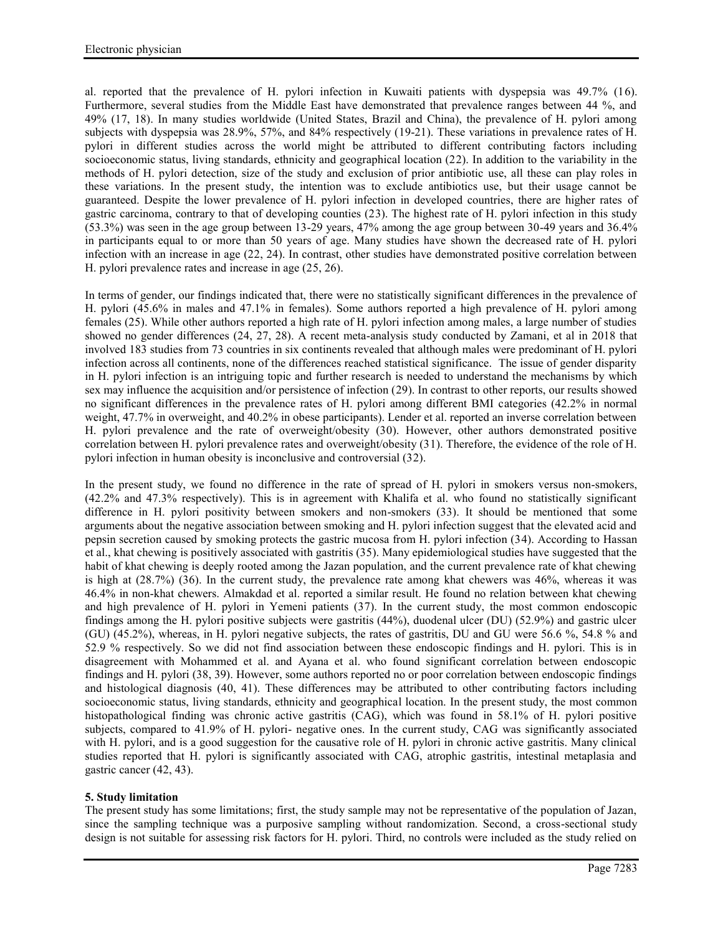al. reported that the prevalence of H. pylori infection in Kuwaiti patients with dyspepsia was 49.7% (16). Furthermore, several studies from the Middle East have demonstrated that prevalence ranges between 44 %, and 49% (17, 18). In many studies worldwide (United States, Brazil and China), the prevalence of H. pylori among subjects with dyspepsia was 28.9%, 57%, and 84% respectively (19-21). These variations in prevalence rates of H. pylori in different studies across the world might be attributed to different contributing factors including socioeconomic status, living standards, ethnicity and geographical location (22). In addition to the variability in the methods of H. pylori detection, size of the study and exclusion of prior antibiotic use, all these can play roles in these variations. In the present study, the intention was to exclude antibiotics use, but their usage cannot be guaranteed. Despite the lower prevalence of H. pylori infection in developed countries, there are higher rates of gastric carcinoma, contrary to that of developing counties (23). The highest rate of H. pylori infection in this study (53.3%) was seen in the age group between 13-29 years, 47% among the age group between 30-49 years and 36.4% in participants equal to or more than 50 years of age. Many studies have shown the decreased rate of H. pylori infection with an increase in age (22, 24). In contrast, other studies have demonstrated positive correlation between H. pylori prevalence rates and increase in age (25, 26).

In terms of gender, our findings indicated that, there were no statistically significant differences in the prevalence of H. pylori (45.6% in males and 47.1% in females). Some authors reported a high prevalence of H. pylori among females (25). While other authors reported a high rate of H. pylori infection among males, a large number of studies showed no gender differences (24, 27, 28). A recent meta-analysis study conducted by Zamani, et al in 2018 that involved 183 studies from 73 countries in six continents revealed that although males were predominant of H. pylori infection across all continents, none of the differences reached statistical significance. The issue of gender disparity in H. pylori infection is an intriguing topic and further research is needed to understand the mechanisms by which sex may influence the acquisition and/or persistence of infection (29). In contrast to other reports, our results showed no significant differences in the prevalence rates of H. pylori among different BMI categories (42.2% in normal weight, 47.7% in overweight, and 40.2% in obese participants). Lender et al. reported an inverse correlation between H. pylori prevalence and the rate of overweight/obesity (30). However, other authors demonstrated positive correlation between H. pylori prevalence rates and overweight/obesity (31). Therefore, the evidence of the role of H. pylori infection in human obesity is inconclusive and controversial (32).

In the present study, we found no difference in the rate of spread of H. pylori in smokers versus non-smokers, (42.2% and 47.3% respectively). This is in agreement with Khalifa et al. who found no statistically significant difference in H. pylori positivity between smokers and non-smokers (33). It should be mentioned that some arguments about the negative association between smoking and H. pylori infection suggest that the elevated acid and pepsin secretion caused by smoking protects the gastric mucosa from H. pylori infection (34). According to Hassan et al., khat chewing is positively associated with gastritis (35). Many epidemiological studies have suggested that the habit of khat chewing is deeply rooted among the Jazan population, and the current prevalence rate of khat chewing is high at (28.7%) (36). In the current study, the prevalence rate among khat chewers was 46%, whereas it was 46.4% in non-khat chewers. Almakdad et al. reported a similar result. He found no relation between khat chewing and high prevalence of H. pylori in Yemeni patients (37). In the current study, the most common endoscopic findings among the H. pylori positive subjects were gastritis (44%), duodenal ulcer (DU) (52.9%) and gastric ulcer (GU) (45.2%), whereas, in H. pylori negative subjects, the rates of gastritis, DU and GU were 56.6 %, 54.8 % and 52.9 % respectively. So we did not find association between these endoscopic findings and H. pylori. This is in disagreement with Mohammed et al. and Ayana et al. who found significant correlation between endoscopic findings and H. pylori (38, 39). However, some authors reported no or poor correlation between endoscopic findings and histological diagnosis (40, 41). These differences may be attributed to other contributing factors including socioeconomic status, living standards, ethnicity and geographical location. In the present study, the most common histopathological finding was chronic active gastritis (CAG), which was found in 58.1% of H. pylori positive subjects, compared to 41.9% of H. pylori- negative ones. In the current study, CAG was significantly associated with H. pylori, and is a good suggestion for the causative role of H. pylori in chronic active gastritis. Many clinical studies reported that H. pylori is significantly associated with CAG, atrophic gastritis, intestinal metaplasia and gastric cancer (42, 43).

## **5. Study limitation**

The present study has some limitations; first, the study sample may not be representative of the population of Jazan, since the sampling technique was a purposive sampling without randomization. Second, a cross-sectional study design is not suitable for assessing risk factors for H. pylori. Third, no controls were included as the study relied on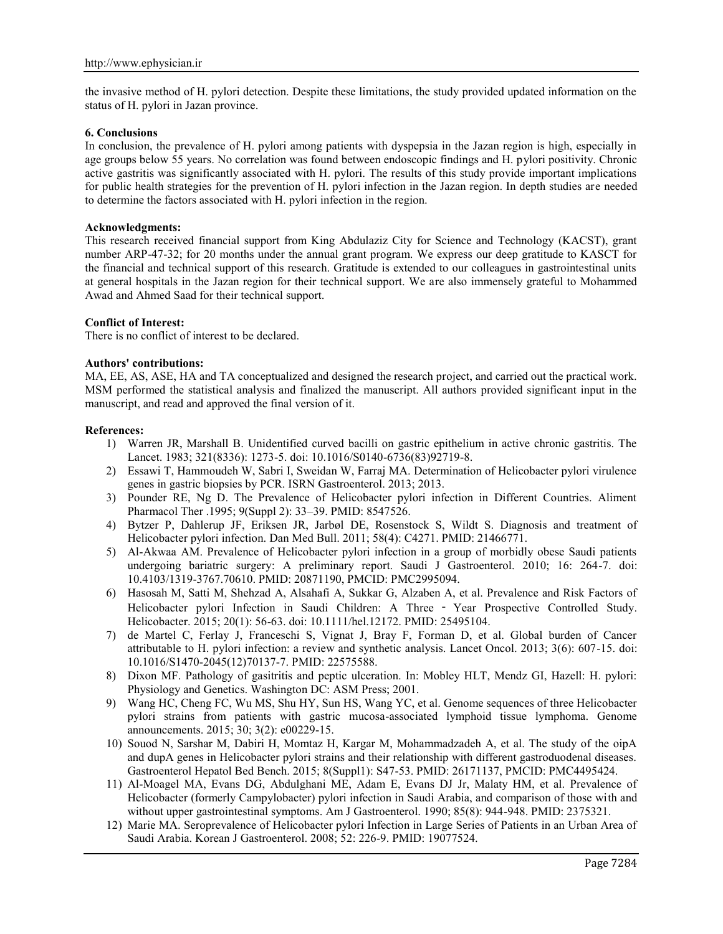the invasive method of H. pylori detection. Despite these limitations, the study provided updated information on the status of H. pylori in Jazan province.

#### **6. Conclusions**

In conclusion, the prevalence of H. pylori among patients with dyspepsia in the Jazan region is high, especially in age groups below 55 years. No correlation was found between endoscopic findings and H. pylori positivity. Chronic active gastritis was significantly associated with H. pylori. The results of this study provide important implications for public health strategies for the prevention of H. pylori infection in the Jazan region. In depth studies are needed to determine the factors associated with H. pylori infection in the region.

#### **Acknowledgments:**

This research received financial support from King Abdulaziz City for Science and Technology (KACST), grant number ARP-47-32; for 20 months under the annual grant program. We express our deep gratitude to KASCT for the financial and technical support of this research. Gratitude is extended to our colleagues in gastrointestinal units at general hospitals in the Jazan region for their technical support. We are also immensely grateful to Mohammed Awad and Ahmed Saad for their technical support.

#### **Conflict of Interest:**

There is no conflict of interest to be declared.

#### **Authors' contributions:**

MA, EE, AS, ASE, HA and TA conceptualized and designed the research project, and carried out the practical work. MSM performed the statistical analysis and finalized the manuscript. All authors provided significant input in the manuscript, and read and approved the final version of it.

#### **References:**

- 1) Warren JR, Marshall B. Unidentified curved bacilli on gastric epithelium in active chronic gastritis. The Lancet. 1983; 321(8336): 1273-5. doi: 10.1016/S0140-6736(83)92719-8.
- 2) Essawi T, Hammoudeh W, Sabri I, Sweidan W, Farraj MA. Determination of Helicobacter pylori virulence genes in gastric biopsies by PCR. ISRN Gastroenterol. 2013; 2013.
- 3) Pounder RE, Ng D. The Prevalence of Helicobacter pylori infection in Different Countries. Aliment Pharmacol Ther .1995; 9(Suppl 2): 33–39. PMID: 8547526.
- 4) Bytzer P, Dahlerup JF, Eriksen JR, Jarbøl DE, Rosenstock S, Wildt S. Diagnosis and treatment of Helicobacter pylori infection. Dan Med Bull. 2011; 58(4): C4271. PMID: 21466771.
- 5) Al-Akwaa AM. Prevalence of Helicobacter pylori infection in a group of morbidly obese Saudi patients undergoing bariatric surgery: A preliminary report. Saudi J Gastroenterol. 2010; 16: 264-7. doi: 10.4103/1319-3767.70610. PMID: 20871190, PMCID: PMC2995094.
- 6) Hasosah M, Satti M, Shehzad A, Alsahafi A, Sukkar G, Alzaben A, et al. Prevalence and Risk Factors of Helicobacter pylori Infection in Saudi Children: A Three - Year Prospective Controlled Study. Helicobacter. 2015; 20(1): 56-63. doi: 10.1111/hel.12172. PMID: 25495104.
- 7) de Martel C, Ferlay J, Franceschi S, Vignat J, Bray F, Forman D, et al. Global burden of Cancer attributable to H. pylori infection: a review and synthetic analysis. Lancet Oncol. 2013; 3(6): 607-15. doi: 10.1016/S1470-2045(12)70137-7. PMID: 22575588.
- 8) Dixon MF. Pathology of gasitritis and peptic ulceration. In: Mobley HLT, Mendz GI, Hazell: H. pylori: Physiology and Genetics. Washington DC: ASM Press; 2001.
- 9) Wang HC, Cheng FC, Wu MS, Shu HY, Sun HS, Wang YC, et al. Genome sequences of three Helicobacter pylori strains from patients with gastric mucosa-associated lymphoid tissue lymphoma. Genome announcements. 2015; 30; 3(2): e00229-15.
- 10) Souod N, Sarshar M, Dabiri H, Momtaz H, Kargar M, Mohammadzadeh A, et al. The study of the oipA and dupA genes in Helicobacter pylori strains and their relationship with different gastroduodenal diseases. Gastroenterol Hepatol Bed Bench. 2015; 8(Suppl1): S47-53. PMID: 26171137, PMCID: PMC4495424.
- 11) Al-Moagel MA, Evans DG, Abdulghani ME, Adam E, Evans DJ Jr, Malaty HM, et al. Prevalence of Helicobacter (formerly Campylobacter) pylori infection in Saudi Arabia, and comparison of those with and without upper gastrointestinal symptoms. Am J Gastroenterol. 1990; 85(8): 944-948. PMID: 2375321.
- 12) Marie MA. Seroprevalence of Helicobacter pylori Infection in Large Series of Patients in an Urban Area of Saudi Arabia. Korean J Gastroenterol. 2008; 52: 226-9. PMID: 19077524.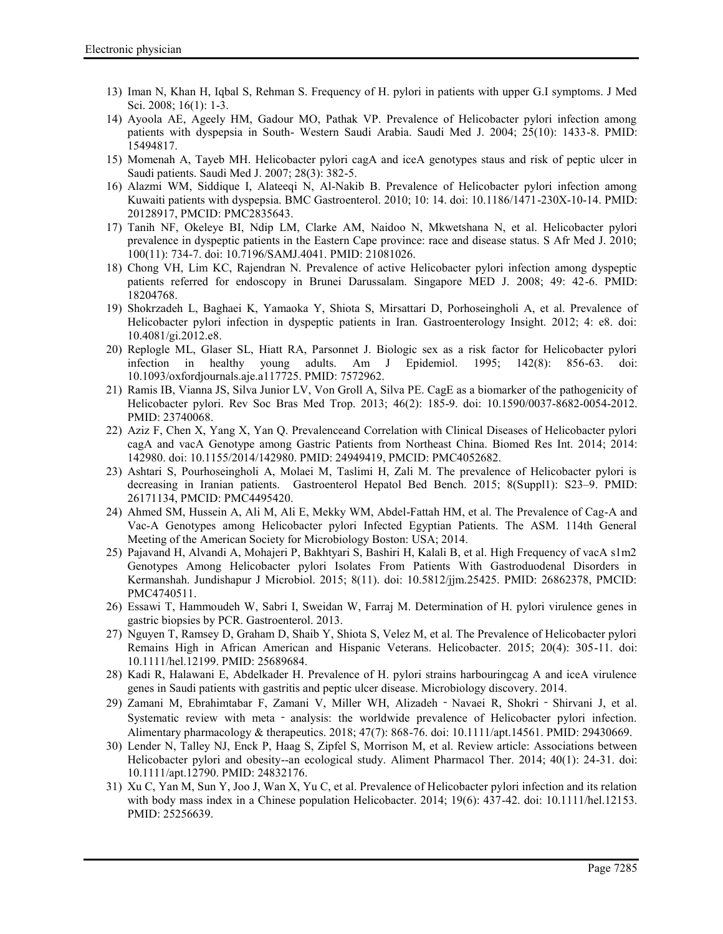- 13) Iman N, Khan H, Iqbal S, Rehman S. Frequency of H. pylori in patients with upper G.I symptoms. J Med Sci. 2008; 16(1): 1-3.
- 14) Ayoola AE, Ageely HM, Gadour MO, Pathak VP. Prevalence of Helicobacter pylori infection among patients with dyspepsia in South- Western Saudi Arabia. Saudi Med J. 2004; 25(10): 1433-8. PMID: 15494817.
- 15) Momenah A, Tayeb MH. Helicobacter pylori cagA and iceA genotypes staus and risk of peptic ulcer in Saudi patients. Saudi Med J. 2007; 28(3): 382-5.
- 16) Alazmi WM, Siddique I, Alateeqi N, Al-Nakib B. Prevalence of Helicobacter pylori infection among Kuwaiti patients with dyspepsia. BMC Gastroenterol. 2010; 10: 14. doi: 10.1186/1471-230X-10-14. PMID: 20128917, PMCID: PMC2835643.
- 17) Tanih NF, Okeleye BI, Ndip LM, Clarke AM, Naidoo N, Mkwetshana N, et al. Helicobacter pylori prevalence in dyspeptic patients in the Eastern Cape province: race and disease status. S Afr Med J. 2010; 100(11): 734-7. doi: 10.7196/SAMJ.4041. PMID: 21081026.
- 18) Chong VH, Lim KC, Rajendran N. Prevalence of active Helicobacter pylori infection among dyspeptic patients referred for endoscopy in Brunei Darussalam. Singapore MED J. 2008; 49: 42-6. PMID: 18204768.
- 19) Shokrzadeh L, Baghaei K, Yamaoka Y, Shiota S, Mirsattari D, Porhoseingholi A, et al. Prevalence of Helicobacter pylori infection in dyspeptic patients in Iran. Gastroenterology Insight. 2012; 4: e8. doi: 10.4081/gi.2012.e8.
- 20) Replogle ML, Glaser SL, Hiatt RA, Parsonnet J. Biologic sex as a risk factor for Helicobacter pylori infection in healthy young adults. Am J Epidemiol. 1995; 142(8): 856-63. doi: 10.1093/oxfordjournals.aje.a117725. PMID: 7572962.
- 21) Ramis IB, Vianna JS, Silva Junior LV, Von Groll A, Silva PE. CagE as a biomarker of the pathogenicity of Helicobacter pylori. Rev Soc Bras Med Trop. 2013; 46(2): 185-9. doi: 10.1590/0037-8682-0054-2012. PMID: 23740068.
- 22) Aziz F, Chen X, Yang X, Yan Q. Prevalenceand Correlation with Clinical Diseases of Helicobacter pylori cagA and vacA Genotype among Gastric Patients from Northeast China. Biomed Res Int. 2014; 2014: 142980. doi: 10.1155/2014/142980. PMID: 24949419, PMCID: PMC4052682.
- 23) Ashtari S, Pourhoseingholi A, Molaei M, Taslimi H, Zali M. The prevalence of Helicobacter pylori is decreasing in Iranian patients. Gastroenterol Hepatol Bed Bench. 2015; 8(Supp11): S23-9. PMID: 26171134, PMCID: PMC4495420.
- 24) Ahmed SM, Hussein A, Ali M, Ali E, Mekky WM, Abdel-Fattah HM, et al. The Prevalence of Cag-A and Vac-A Genotypes among Helicobacter pylori Infected Egyptian Patients. The ASM. 114th General Meeting of the American Society for Microbiology Boston: USA; 2014.
- 25) Pajavand H, Alvandi A, Mohajeri P, Bakhtyari S, Bashiri H, Kalali B, et al. High Frequency of vacA s1m2 Genotypes Among Helicobacter pylori Isolates From Patients With Gastroduodenal Disorders in Kermanshah. Jundishapur J Microbiol. 2015; 8(11). doi: 10.5812/jjm.25425. PMID: 26862378, PMCID: PMC4740511.
- 26) Essawi T, Hammoudeh W, Sabri I, Sweidan W, Farraj M. Determination of H. pylori virulence genes in gastric biopsies by PCR. Gastroenterol. 2013.
- 27) Nguyen T, Ramsey D, Graham D, Shaib Y, Shiota S, Velez M, et al. The Prevalence of Helicobacter pylori Remains High in African American and Hispanic Veterans. Helicobacter. 2015; 20(4): 305-11. doi: 10.1111/hel.12199. PMID: 25689684.
- 28) Kadi R, Halawani E, Abdelkader H. Prevalence of H. pylori strains harbouringcag A and iceA virulence genes in Saudi patients with gastritis and peptic ulcer disease. Microbiology discovery. 2014.
- 29) Zamani M, Ebrahimtabar F, Zamani V, Miller WH, Alizadeh Navaei R, Shokri Shirvani J, et al. Systematic review with meta - analysis: the worldwide prevalence of Helicobacter pylori infection. Alimentary pharmacology & therapeutics. 2018; 47(7): 868-76. doi: 10.1111/apt.14561. PMID: 29430669.
- 30) Lender N, Talley NJ, Enck P, Haag S, Zipfel S, Morrison M, et al. Review article: Associations between Helicobacter pylori and obesity--an ecological study. Aliment Pharmacol Ther. 2014; 40(1): 24-31. doi: 10.1111/apt.12790. PMID: 24832176.
- 31) Xu C, Yan M, Sun Y, Joo J, Wan X, Yu C, et al. Prevalence of Helicobacter pylori infection and its relation with body mass index in a Chinese population Helicobacter. 2014; 19(6): 437-42. doi: 10.1111/hel.12153. PMID: 25256639.